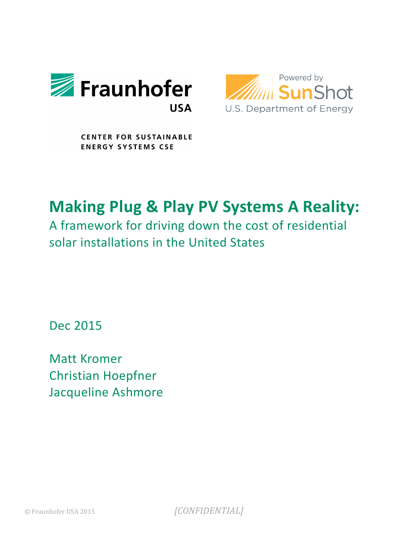



**CENTER FOR SUSTAINABLE ENERGY SYSTEMS CSE** 

# **Making Plug & Play PV Systems A Reality:**

A framework for driving down the cost of residential solar installations in the United States

Dec 2015

**Matt Kromer Christian Hoepfner** Jacqueline Ashmore

© Fraunhofer USA 2015 [CONFIDENTIAL]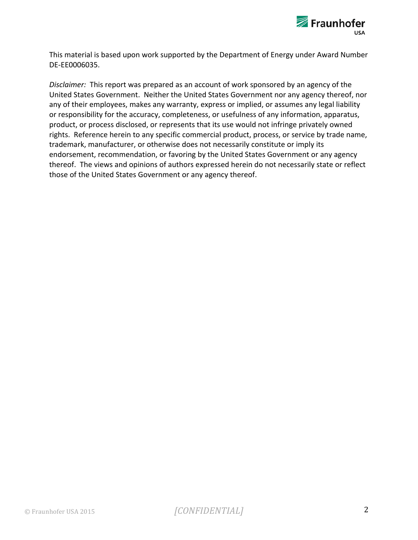

This material is based upon work supported by the Department of Energy under Award Number DE-EE0006035.

*Disclaimer:* This report was prepared as an account of work sponsored by an agency of the United States Government. Neither the United States Government nor any agency thereof, nor any of their employees, makes any warranty, express or implied, or assumes any legal liability or responsibility for the accuracy, completeness, or usefulness of any information, apparatus, product, or process disclosed, or represents that its use would not infringe privately owned rights. Reference herein to any specific commercial product, process, or service by trade name, trademark, manufacturer, or otherwise does not necessarily constitute or imply its endorsement, recommendation, or favoring by the United States Government or any agency thereof. The views and opinions of authors expressed herein do not necessarily state or reflect those of the United States Government or any agency thereof.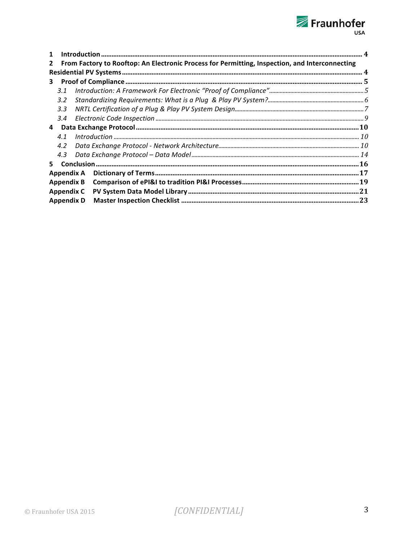# Fraunhofer<br>
<sub>USA</sub>

| 1                 |                                                                                                |  |  |  |
|-------------------|------------------------------------------------------------------------------------------------|--|--|--|
| $\mathbf{2}$      | From Factory to Rooftop: An Electronic Process for Permitting, Inspection, and Interconnecting |  |  |  |
|                   |                                                                                                |  |  |  |
|                   |                                                                                                |  |  |  |
|                   | 3.1                                                                                            |  |  |  |
|                   | $3.2^{\circ}$                                                                                  |  |  |  |
|                   | 3.3                                                                                            |  |  |  |
|                   | 3.4                                                                                            |  |  |  |
| 4                 |                                                                                                |  |  |  |
|                   | 4.1                                                                                            |  |  |  |
|                   | 4.2                                                                                            |  |  |  |
|                   | 4.3                                                                                            |  |  |  |
| 5.                |                                                                                                |  |  |  |
| Appendix A        |                                                                                                |  |  |  |
| <b>Appendix B</b> |                                                                                                |  |  |  |
| <b>Appendix C</b> |                                                                                                |  |  |  |
| <b>Appendix D</b> |                                                                                                |  |  |  |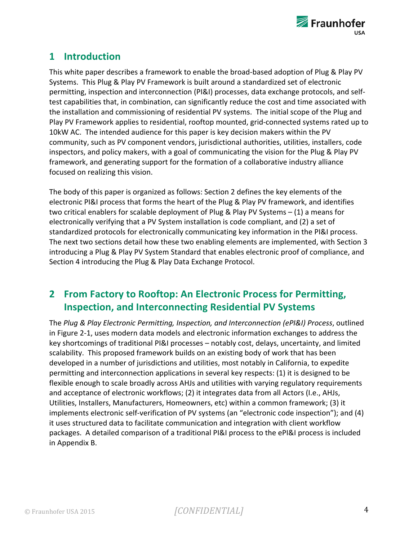

# **1 Introduction**

This white paper describes a framework to enable the broad-based adoption of Plug & Play PV Systems. This Plug & Play PV Framework is built around a standardized set of electronic permitting, inspection and interconnection (PI&I) processes, data exchange protocols, and selftest capabilities that, in combination, can significantly reduce the cost and time associated with the installation and commissioning of residential PV systems. The initial scope of the Plug and Play PV Framework applies to residential, rooftop mounted, grid-connected systems rated up to 10kW AC. The intended audience for this paper is key decision makers within the PV community, such as PV component vendors, jurisdictional authorities, utilities, installers, code inspectors, and policy makers, with a goal of communicating the vision for the Plug & Play PV framework, and generating support for the formation of a collaborative industry alliance focused on realizing this vision.

The body of this paper is organized as follows: Section 2 defines the key elements of the electronic PI&I process that forms the heart of the Plug & Play PV framework, and identifies two critical enablers for scalable deployment of Plug & Play PV Systems  $- (1)$  a means for electronically verifying that a PV System installation is code compliant, and (2) a set of standardized protocols for electronically communicating key information in the PI&I process. The next two sections detail how these two enabling elements are implemented, with Section 3 introducing a Plug & Play PV System Standard that enables electronic proof of compliance, and Section 4 introducing the Plug & Play Data Exchange Protocol.

# **2 From Factory to Rooftop: An Electronic Process for Permitting, Inspection, and Interconnecting Residential PV Systems**

The Plug & Play Electronic Permitting, Inspection, and Interconnection (ePI&I) Process, outlined in Figure 2-1, uses modern data models and electronic information exchanges to address the key shortcomings of traditional PI&I processes – notably cost, delays, uncertainty, and limited scalability. This proposed framework builds on an existing body of work that has been developed in a number of jurisdictions and utilities, most notably in California, to expedite permitting and interconnection applications in several key respects: (1) it is designed to be flexible enough to scale broadly across AHJs and utilities with varying regulatory requirements and acceptance of electronic workflows; (2) it integrates data from all Actors (I.e., AHJs, Utilities, Installers, Manufacturers, Homeowners, etc) within a common framework; (3) it implements electronic self-verification of PV systems (an "electronic code inspection"); and (4) it uses structured data to facilitate communication and integration with client workflow packages. A detailed comparison of a traditional PI&I process to the ePI&I process is included in Appendix B.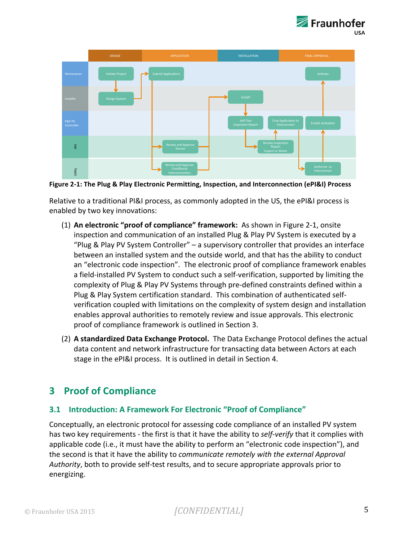



Figure 2-1: The Plug & Play Electronic Permitting, Inspection, and Interconnection (ePI&I) Process

Relative to a traditional PI&I process, as commonly adopted in the US, the ePI&I process is enabled by two key innovations:

- (1) An electronic "proof of compliance" framework: As shown in Figure 2-1, onsite inspection and communication of an installed Plug & Play PV System is executed by a "Plug & Play PV System Controller"  $-$  a supervisory controller that provides an interface between an installed system and the outside world, and that has the ability to conduct an "electronic code inspection". The electronic proof of compliance framework enables a field-installed PV System to conduct such a self-verification, supported by limiting the complexity of Plug & Play PV Systems through pre-defined constraints defined within a Plug & Play System certification standard. This combination of authenticated selfverification coupled with limitations on the complexity of system design and installation enables approval authorities to remotely review and issue approvals. This electronic proof of compliance framework is outlined in Section 3.
- (2) A standardized Data Exchange Protocol. The Data Exchange Protocol defines the actual data content and network infrastructure for transacting data between Actors at each stage in the ePI&I process. It is outlined in detail in Section 4.

# **3** Proof of Compliance

#### **3.1 Introduction: A Framework For Electronic "Proof of Compliance"**

Conceptually, an electronic protocol for assessing code compliance of an installed PV system has two key requirements - the first is that it have the ability to *self-verify* that it complies with applicable code (i.e., it must have the ability to perform an "electronic code inspection"), and the second is that it have the ability to *communicate remotely with the external Approval Authority*, both to provide self-test results, and to secure appropriate approvals prior to energizing.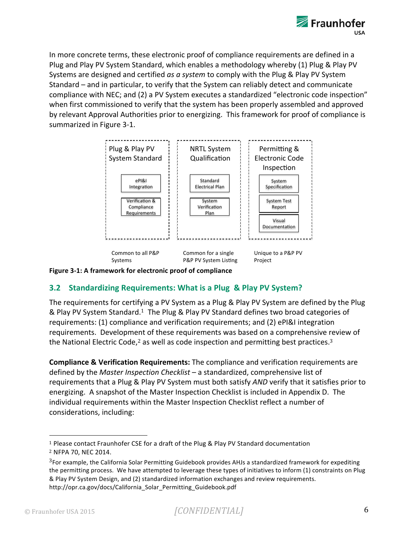

In more concrete terms, these electronic proof of compliance requirements are defined in a Plug and Play PV System Standard, which enables a methodology whereby (1) Plug & Play PV Systems are designed and certified as a system to comply with the Plug & Play PV System Standard – and in particular, to verify that the System can reliably detect and communicate compliance with NEC; and (2) a PV System executes a standardized "electronic code inspection" when first commissioned to verify that the system has been properly assembled and approved by relevant Approval Authorities prior to energizing. This framework for proof of compliance is summarized in Figure 3-1.



**Figure 3-1: A framework for electronic proof of compliance** 

#### **3.2 Standardizing Requirements: What is a Plug & Play PV System?**

The requirements for certifying a PV System as a Plug & Play PV System are defined by the Plug & Play PV System Standard.<sup>1</sup> The Plug & Play PV Standard defines two broad categories of requirements: (1) compliance and verification requirements; and (2) ePI&I integration requirements. Development of these requirements was based on a comprehensive review of the National Electric Code,<sup>2</sup> as well as code inspection and permitting best practices.<sup>3</sup>

**Compliance & Verification Requirements:** The compliance and verification requirements are defined by the *Master Inspection Checklist* – a standardized, comprehensive list of requirements that a Plug & Play PV System must both satisfy *AND* verify that it satisfies prior to energizing. A snapshot of the Master Inspection Checklist is included in Appendix D. The individual requirements within the Master Inspection Checklist reflect a number of considerations, including:

<sup>&</sup>lt;sup>1</sup> Please contact Fraunhofer CSE for a draft of the Plug & Play PV Standard documentation <sup>2</sup> NFPA 70, NEC 2014.

 $3$ For example, the California Solar Permitting Guidebook provides AHJs a standardized framework for expediting the permitting process. We have attempted to leverage these types of initiatives to inform (1) constraints on Plug & Play PV System Design, and (2) standardized information exchanges and review requirements. http://opr.ca.gov/docs/California\_Solar\_Permitting\_Guidebook.pdf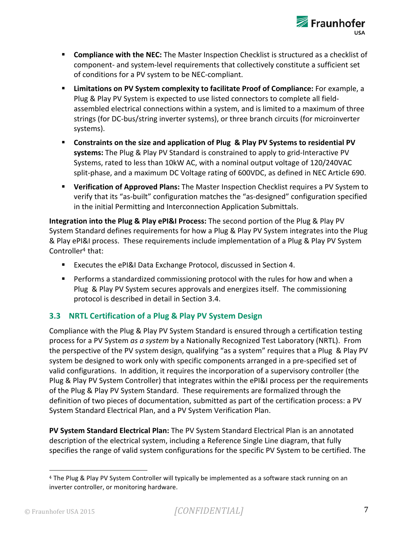

- **EXECOMPLE 12 THEREF COMPLIBER 15 THE MASTER INSPECTION CHECKLIST COMPLIST** Compliance with the NEC: The Master Inspection Checklist of component- and system-level requirements that collectively constitute a sufficient set of conditions for a PV system to be NEC-compliant.
- **Example 1 Limitations on PV System complexity to facilitate Proof of Compliance:** For example, a Plug & Play PV System is expected to use listed connectors to complete all fieldassembled electrical connections within a system, and is limited to a maximum of three strings (for DC-bus/string inverter systems), or three branch circuits (for microinverter systems).
- Constraints on the size and application of Plug & Play PV Systems to residential PV **systems:** The Plug & Play PV Standard is constrained to apply to grid-Interactive PV Systems, rated to less than 10kW AC, with a nominal output voltage of 120/240VAC split-phase, and a maximum DC Voltage rating of 600VDC, as defined in NEC Article 690.
- **Verification of Approved Plans:** The Master Inspection Checklist requires a PV System to verify that its "as-built" configuration matches the "as-designed" configuration specified in the initial Permitting and Interconnection Application Submittals.

**Integration into the Plug & Play ePI&I Process:** The second portion of the Plug & Play PV System Standard defines requirements for how a Plug & Play PV System integrates into the Plug & Play ePI&I process. These requirements include implementation of a Plug & Play PV System Controller<sup>4</sup> that:

- Executes the ePI&I Data Exchange Protocol, discussed in Section 4.
- Performs a standardized commissioning protocol with the rules for how and when a Plug & Play PV System secures approvals and energizes itself. The commissioning protocol is described in detail in Section 3.4.

#### **3.3 NRTL Certification of a Plug & Play PV System Design**

Compliance with the Plug & Play PV System Standard is ensured through a certification testing process for a PV System *as a system* by a Nationally Recognized Test Laboratory (NRTL). From the perspective of the PV system design, qualifying "as a system" requires that a Plug & Play PV system be designed to work only with specific components arranged in a pre-specified set of valid configurations. In addition, it requires the incorporation of a supervisory controller (the Plug & Play PV System Controller) that integrates within the ePI&I process per the requirements of the Plug & Play PV System Standard. These requirements are formalized through the definition of two pieces of documentation, submitted as part of the certification process: a PV System Standard Electrical Plan, and a PV System Verification Plan.

**PV System Standard Electrical Plan:** The PV System Standard Electrical Plan is an annotated description of the electrical system, including a Reference Single Line diagram, that fully specifies the range of valid system configurations for the specific PV System to be certified. The

<sup>&</sup>lt;sup>4</sup> The Plug & Play PV System Controller will typically be implemented as a software stack running on an inverter controller, or monitoring hardware.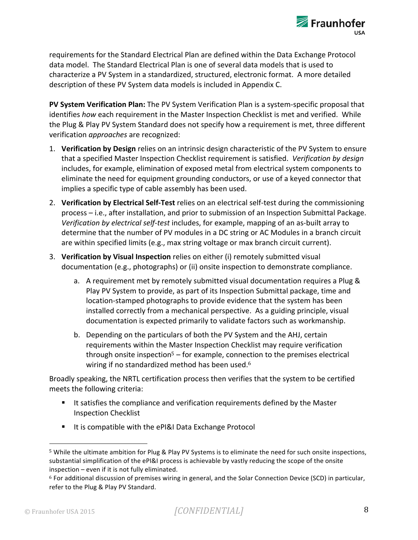

requirements for the Standard Electrical Plan are defined within the Data Exchange Protocol data model. The Standard Electrical Plan is one of several data models that is used to characterize a PV System in a standardized, structured, electronic format. A more detailed description of these PV System data models is included in Appendix C.

**PV System Verification Plan:** The PV System Verification Plan is a system-specific proposal that identifies how each requirement in the Master Inspection Checklist is met and verified. While the Plug & Play PV System Standard does not specify how a requirement is met, three different verification *approaches* are recognized:

- 1. Verification by Design relies on an intrinsic design characteristic of the PV System to ensure that a specified Master Inspection Checklist requirement is satisfied. Verification by design includes, for example, elimination of exposed metal from electrical system components to eliminate the need for equipment grounding conductors, or use of a keyed connector that implies a specific type of cable assembly has been used.
- 2. Verification by Electrical Self-Test relies on an electrical self-test during the commissioning process – i.e., after installation, and prior to submission of an Inspection Submittal Package. *Verification by electrical self-test* includes, for example, mapping of an as-built array to determine that the number of PV modules in a DC string or AC Modules in a branch circuit are within specified limits (e.g., max string voltage or max branch circuit current).
- 3. Verification by Visual Inspection relies on either (i) remotely submitted visual documentation (e.g., photographs) or (ii) onsite inspection to demonstrate compliance.
	- a. A requirement met by remotely submitted visual documentation requires a Plug & Play PV System to provide, as part of its Inspection Submittal package, time and location-stamped photographs to provide evidence that the system has been installed correctly from a mechanical perspective. As a guiding principle, visual documentation is expected primarily to validate factors such as workmanship.
	- b. Depending on the particulars of both the PV System and the AHJ, certain requirements within the Master Inspection Checklist may require verification through onsite inspection<sup>5</sup> – for example, connection to the premises electrical wiring if no standardized method has been used.<sup>6</sup>

Broadly speaking, the NRTL certification process then verifies that the system to be certified meets the following criteria:

- It satisfies the compliance and verification requirements defined by the Master Inspection Checklist
- It is compatible with the ePI&I Data Exchange Protocol

<sup>5</sup> While the ultimate ambition for Plug & Play PV Systems is to eliminate the need for such onsite inspections, substantial simplification of the ePI&I process is achievable by vastly reducing the scope of the onsite  $inspection$  – even if it is not fully eliminated.

 $6$  For additional discussion of premises wiring in general, and the Solar Connection Device (SCD) in particular, refer to the Plug & Play PV Standard.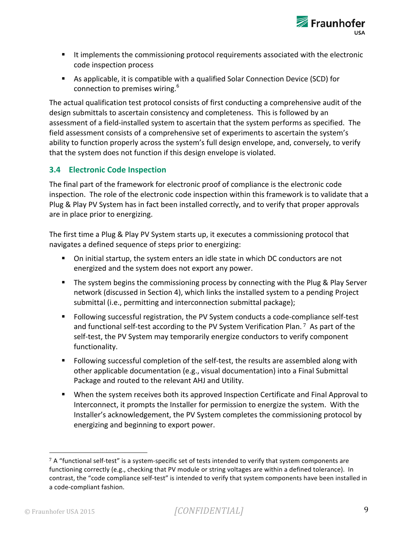

- It implements the commissioning protocol requirements associated with the electronic code inspection process
- As applicable, it is compatible with a qualified Solar Connection Device (SCD) for connection to premises wiring.<sup>6</sup>

The actual qualification test protocol consists of first conducting a comprehensive audit of the design submittals to ascertain consistency and completeness. This is followed by an assessment of a field-installed system to ascertain that the system performs as specified. The field assessment consists of a comprehensive set of experiments to ascertain the system's ability to function properly across the system's full design envelope, and, conversely, to verify that the system does not function if this design envelope is violated.

#### **3.4 Electronic Code Inspection**

The final part of the framework for electronic proof of compliance is the electronic code inspection. The role of the electronic code inspection within this framework is to validate that a Plug & Play PV System has in fact been installed correctly, and to verify that proper approvals are in place prior to energizing.

The first time a Plug & Play PV System starts up, it executes a commissioning protocol that navigates a defined sequence of steps prior to energizing:

- On initial startup, the system enters an idle state in which DC conductors are not energized and the system does not export any power.
- The system begins the commissioning process by connecting with the Plug & Play Server network (discussed in Section 4), which links the installed system to a pending Project submittal (i.e., permitting and interconnection submittal package);
- Following successful registration, the PV System conducts a code-compliance self-test and functional self-test according to the PV System Verification Plan.  $\frac{7}{1}$  As part of the self-test, the PV System may temporarily energize conductors to verify component functionality.
- Following successful completion of the self-test, the results are assembled along with other applicable documentation (e.g., visual documentation) into a Final Submittal Package and routed to the relevant AHJ and Utility.
- When the system receives both its approved Inspection Certificate and Final Approval to Interconnect, it prompts the Installer for permission to energize the system. With the Installer's acknowledgement, the PV System completes the commissioning protocol by energizing and beginning to export power.

 $7$  A "functional self-test" is a system-specific set of tests intended to verify that system components are functioning correctly (e.g., checking that PV module or string voltages are within a defined tolerance). In contrast, the "code compliance self-test" is intended to verify that system components have been installed in a code-compliant fashion.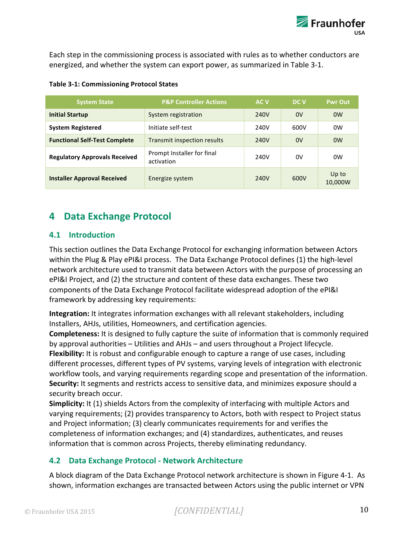Each step in the commissioning process is associated with rules as to whether conductors are energized, and whether the system can export power, as summarized in Table 3-1.

| <b>System State</b>                  | <b>P&amp;P Controller Actions</b>        | <b>ACV</b> | DC V | <b>Pwr Out</b>   |
|--------------------------------------|------------------------------------------|------------|------|------------------|
| <b>Initial Startup</b>               | System registration                      | 240V       | 0V   | 0 <sub>W</sub>   |
| <b>System Registered</b>             | Initiate self-test                       | 240V       | 600V | 0 <sub>W</sub>   |
| <b>Functional Self-Test Complete</b> | Transmit inspection results              | 240V       | 0V   | 0 <sub>W</sub>   |
| <b>Regulatory Approvals Received</b> | Prompt Installer for final<br>activation | 240V       | 0V   | 0 <sub>W</sub>   |
| <b>Installer Approval Received</b>   | Energize system                          | 240V       | 600V | Up to<br>10,000W |

#### **Table 3-1: Commissioning Protocol States**

# **4 Data Exchange Protocol**

#### **4.1 Introduction**

This section outlines the Data Exchange Protocol for exchanging information between Actors within the Plug & Play ePI&I process. The Data Exchange Protocol defines (1) the high-level network architecture used to transmit data between Actors with the purpose of processing an ePI&I Project, and (2) the structure and content of these data exchanges. These two components of the Data Exchange Protocol facilitate widespread adoption of the ePI&I framework by addressing key requirements:

**Integration:** It integrates information exchanges with all relevant stakeholders, including Installers, AHJs, utilities, Homeowners, and certification agencies.

**Completeness:** It is designed to fully capture the suite of information that is commonly required by approval authorities – Utilities and AHJs – and users throughout a Project lifecycle. **Flexibility:** It is robust and configurable enough to capture a range of use cases, including different processes, different types of PV systems, varying levels of integration with electronic workflow tools, and varying requirements regarding scope and presentation of the information. **Security:** It segments and restricts access to sensitive data, and minimizes exposure should a security breach occur.

**Simplicity:** It (1) shields Actors from the complexity of interfacing with multiple Actors and varying requirements; (2) provides transparency to Actors, both with respect to Project status and Project information; (3) clearly communicates requirements for and verifies the completeness of information exchanges; and (4) standardizes, authenticates, and reuses information that is common across Projects, thereby eliminating redundancy.

#### **4.2 Data Exchange Protocol - Network Architecture**

A block diagram of the Data Exchange Protocol network architecture is shown in Figure 4-1. As shown, information exchanges are transacted between Actors using the public internet or VPN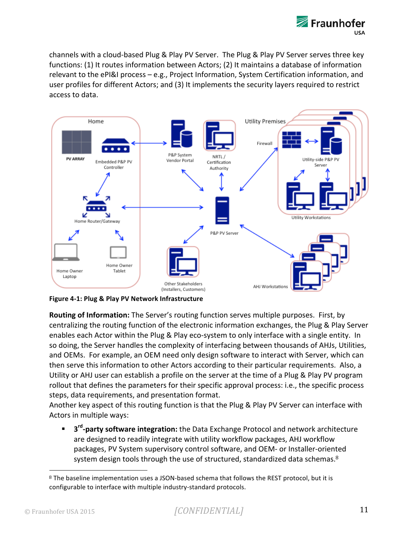

channels with a cloud-based Plug & Play PV Server. The Plug & Play PV Server serves three key functions: (1) It routes information between Actors; (2) It maintains a database of information relevant to the ePI&I process - e.g., Project Information, System Certification information, and user profiles for different Actors; and (3) It implements the security layers required to restrict access to data.



**Figure 4-1: Plug & Play PV Network Infrastructure** 

**Routing of Information:** The Server's routing function serves multiple purposes. First, by centralizing the routing function of the electronic information exchanges, the Plug & Play Server enables each Actor within the Plug & Play eco-system to only interface with a single entity. In so doing, the Server handles the complexity of interfacing between thousands of AHJs, Utilities, and OEMs. For example, an OEM need only design software to interact with Server, which can then serve this information to other Actors according to their particular requirements. Also, a Utility or AHJ user can establish a profile on the server at the time of a Plug & Play PV program rollout that defines the parameters for their specific approval process: i.e., the specific process steps, data requirements, and presentation format.

Another key aspect of this routing function is that the Plug & Play PV Server can interface with Actors in multiple ways:

■ 3<sup>rd</sup>-party software integration: the Data Exchange Protocol and network architecture are designed to readily integrate with utility workflow packages, AHJ workflow packages, PV System supervisory control software, and OEM- or Installer-oriented system design tools through the use of structured, standardized data schemas. $8$ 

<sup>8</sup> The baseline implementation uses a JSON-based schema that follows the REST protocol, but it is configurable to interface with multiple industry-standard protocols.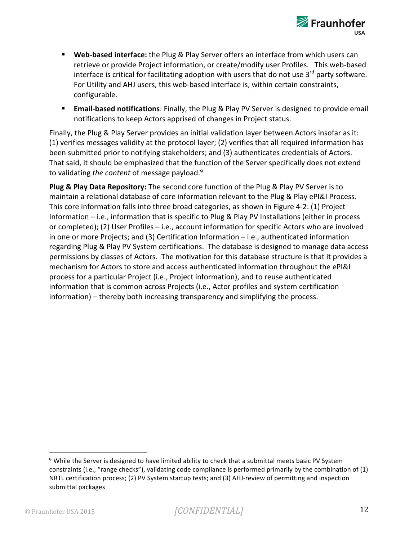

- Web-based interface: the Plug & Play Server offers an interface from which users can retrieve or provide Project information, or create/modify user Profiles. This web-based interface is critical for facilitating adoption with users that do not use  $3^{rd}$  party software. For Utility and AHJ users, this web-based interface is, within certain constraints, configurable.
- **Email-based notifications**: Finally, the Plug & Play PV Server is designed to provide email notifications to keep Actors apprised of changes in Project status.

Finally, the Plug & Play Server provides an initial validation layer between Actors insofar as it: (1) verifies messages validity at the protocol layer; (2) verifies that all required information has been submitted prior to notifying stakeholders; and (3) authenticates credentials of Actors. That said, it should be emphasized that the function of the Server specifically does not extend to validating the content of message payload.<sup>9</sup>

**Plug & Play Data Repository:** The second core function of the Plug & Play PV Server is to maintain a relational database of core information relevant to the Plug & Play ePI&I Process. This core information falls into three broad categories, as shown in Figure 4-2: (1) Project Information  $-$  i.e., information that is specific to Plug & Play PV Installations (either in process or completed); (2) User Profiles  $-$  i.e., account information for specific Actors who are involved in one or more Projects; and  $(3)$  Certification Information – i.e., authenticated information regarding Plug & Play PV System certifications. The database is designed to manage data access permissions by classes of Actors. The motivation for this database structure is that it provides a mechanism for Actors to store and access authenticated information throughout the ePI&I process for a particular Project (i.e., Project information), and to reuse authenticated information that is common across Projects (i.e., Actor profiles and system certification  $information$  – thereby both increasing transparency and simplifying the process.

  $9$  While the Server is designed to have limited ability to check that a submittal meets basic PV System constraints (i.e., "range checks"), validating code compliance is performed primarily by the combination of (1) NRTL certification process; (2) PV System startup tests; and (3) AHJ-review of permitting and inspection submittal packages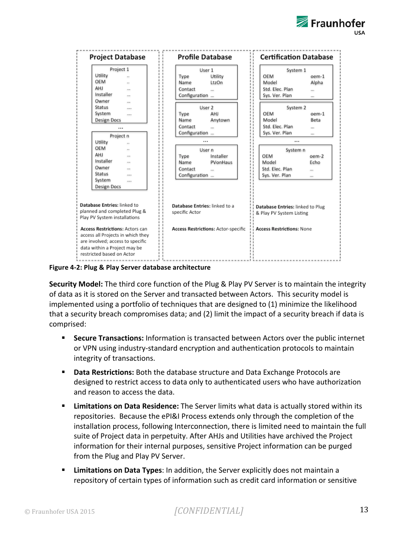



**Figure 4-2: Plug & Play Server database architecture** 

**Security Model:** The third core function of the Plug & Play PV Server is to maintain the integrity of data as it is stored on the Server and transacted between Actors. This security model is implemented using a portfolio of techniques that are designed to (1) minimize the likelihood that a security breach compromises data; and (2) limit the impact of a security breach if data is comprised:

- Secure Transactions: Information is transacted between Actors over the public internet or VPN using industry-standard encryption and authentication protocols to maintain integrity of transactions.
- **Data Restrictions:** Both the database structure and Data Exchange Protocols are designed to restrict access to data only to authenticated users who have authorization and reason to access the data.
- **Limitations on Data Residence:** The Server limits what data is actually stored within its repositories. Because the ePI&I Process extends only through the completion of the installation process, following Interconnection, there is limited need to maintain the full suite of Project data in perpetuity. After AHJs and Utilities have archived the Project information for their internal purposes, sensitive Project information can be purged from the Plug and Play PV Server.
- **Limitations on Data Types**: In addition, the Server explicitly does not maintain a repository of certain types of information such as credit card information or sensitive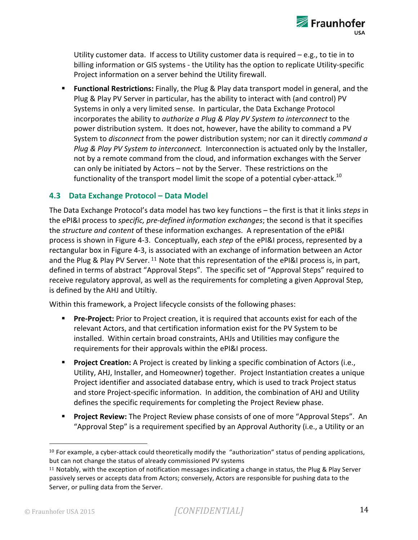

Utility customer data. If access to Utility customer data is required  $-$  e.g., to tie in to billing information or GIS systems - the Utility has the option to replicate Utility-specific Project information on a server behind the Utility firewall.

**Eunctional Restrictions:** Finally, the Plug & Play data transport model in general, and the Plug & Play PV Server in particular, has the ability to interact with (and control) PV Systems in only a very limited sense. In particular, the Data Exchange Protocol incorporates the ability to *authorize a Plug & Play PV System to interconnect* to the power distribution system. It does not, however, have the ability to command a PV System to *disconnect* from the power distribution system; nor can it directly *command a Plug & Play PV System to interconnect.* Interconnection is actuated only by the Installer, not by a remote command from the cloud, and information exchanges with the Server can only be initiated by Actors – not by the Server. These restrictions on the functionality of the transport model limit the scope of a potential cyber-attack.<sup>10</sup>

#### **4.3 Data Exchange Protocol – Data Model**

The Data Exchange Protocol's data model has two key functions – the first is that it links *steps* in the ePI&I process to *specific, pre-defined information exchanges*; the second is that it specifies the *structure and content* of these information exchanges. A representation of the ePI&I process is shown in Figure 4-3. Conceptually, each *step* of the ePI&I process, represented by a rectangular box in Figure 4-3, is associated with an exchange of information between an Actor and the Plug & Play PV Server. <sup>11</sup> Note that this representation of the ePI&I process is, in part, defined in terms of abstract "Approval Steps". The specific set of "Approval Steps" required to receive regulatory approval, as well as the requirements for completing a given Approval Step, is defined by the AHJ and Utiltiy.

Within this framework, a Project lifecycle consists of the following phases:

- **Pre-Project:** Prior to Project creation, it is required that accounts exist for each of the relevant Actors, and that certification information exist for the PV System to be installed. Within certain broad constraints, AHJs and Utilities may configure the requirements for their approvals within the ePI&I process.
- **Project Creation:** A Project is created by linking a specific combination of Actors (i.e., Utility, AHJ, Installer, and Homeowner) together. Project Instantiation creates a unique Project identifier and associated database entry, which is used to track Project status and store Project-specific information. In addition, the combination of AHJ and Utility defines the specific requirements for completing the Project Review phase.
- **Project Review:** The Project Review phase consists of one of more "Approval Steps". An "Approval Step" is a requirement specified by an Approval Authority (i.e., a Utility or an

 $10$  For example, a cyber-attack could theoretically modify the "authorization" status of pending applications, but can not change the status of already commissioned PV systems

 $11$  Notably, with the exception of notification messages indicating a change in status, the Plug & Play Server passively serves or accepts data from Actors; conversely, Actors are responsible for pushing data to the Server, or pulling data from the Server.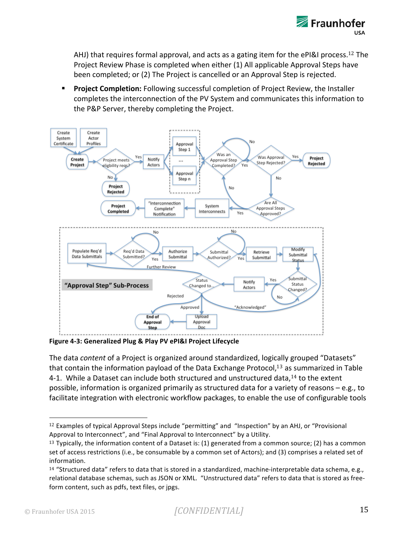

AHJ) that requires formal approval, and acts as a gating item for the ePI&I process.<sup>12</sup> The Project Review Phase is completed when either (1) All applicable Approval Steps have been completed; or (2) The Project is cancelled or an Approval Step is rejected.

**Project Completion:** Following successful completion of Project Review, the Installer completes the interconnection of the PV System and communicates this information to the P&P Server, thereby completing the Project.



Figure 4-3: Generalized Plug & Play PV ePI&I Project Lifecycle

The data *content* of a Project is organized around standardized, logically grouped "Datasets" that contain the information payload of the Data Exchange Protocol,<sup>13</sup> as summarized in Table 4-1. While a Dataset can include both structured and unstructured data, $^{14}$  to the extent possible, information is organized primarily as structured data for a variety of reasons  $-e.g.,$  to facilitate integration with electronic workflow packages, to enable the use of configurable tools

 $12$  Examples of typical Approval Steps include "permitting" and "Inspection" by an AHJ, or "Provisional Approval to Interconnect", and "Final Approval to Interconnect" by a Utility.

<sup>&</sup>lt;sup>13</sup> Typically, the information content of a Dataset is:  $(1)$  generated from a common source;  $(2)$  has a common set of access restrictions (i.e., be consumable by a common set of Actors); and (3) comprises a related set of information. 

<sup>&</sup>lt;sup>14</sup> "Structured data" refers to data that is stored in a standardized, machine-interpretable data schema, e.g., relational database schemas, such as JSON or XML. "Unstructured data" refers to data that is stored as freeform content, such as pdfs, text files, or jpgs.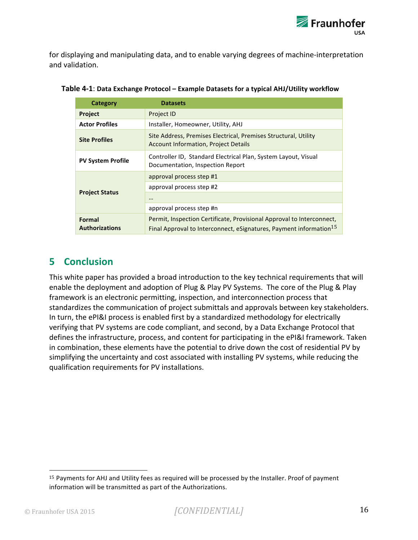

for displaying and manipulating data, and to enable varying degrees of machine-interpretation and validation.

| Category                        | <b>Datasets</b>                                                                                                                                         |
|---------------------------------|---------------------------------------------------------------------------------------------------------------------------------------------------------|
| <b>Project</b>                  | Project ID                                                                                                                                              |
| <b>Actor Profiles</b>           | Installer, Homeowner, Utility, AHJ                                                                                                                      |
| <b>Site Profiles</b>            | Site Address, Premises Electrical, Premises Structural, Utility<br><b>Account Information, Project Details</b>                                          |
| <b>PV System Profile</b>        | Controller ID, Standard Electrical Plan, System Layout, Visual<br>Documentation, Inspection Report                                                      |
|                                 | approval process step #1                                                                                                                                |
|                                 | approval process step #2                                                                                                                                |
| <b>Project Status</b>           | $\cdots$                                                                                                                                                |
|                                 | approval process step #n                                                                                                                                |
| Formal<br><b>Authorizations</b> | Permit, Inspection Certificate, Provisional Approval to Interconnect,<br>Final Approval to Interconnect, eSignatures, Payment information <sup>15</sup> |

| Table 4-1: Data Exchange Protocol - Example Datasets for a typical AHJ/Utility workflow |  |  |
|-----------------------------------------------------------------------------------------|--|--|
|-----------------------------------------------------------------------------------------|--|--|

### **5 Conclusion**

This white paper has provided a broad introduction to the key technical requirements that will enable the deployment and adoption of Plug & Play PV Systems. The core of the Plug & Play framework is an electronic permitting, inspection, and interconnection process that standardizes the communication of project submittals and approvals between key stakeholders. In turn, the ePI&I process is enabled first by a standardized methodology for electrically verifying that PV systems are code compliant, and second, by a Data Exchange Protocol that defines the infrastructure, process, and content for participating in the ePI&I framework. Taken in combination, these elements have the potential to drive down the cost of residential PV by simplifying the uncertainty and cost associated with installing PV systems, while reducing the qualification requirements for PV installations.

<sup>15</sup> Payments for AHJ and Utility fees as required will be processed by the Installer. Proof of payment information will be transmitted as part of the Authorizations.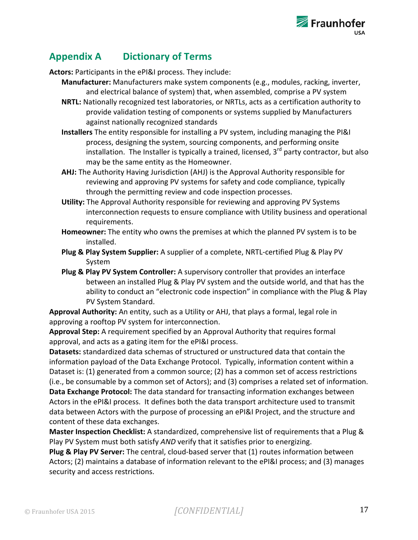

# **Appendix A Dictionary of Terms**

Actors: Participants in the ePI&I process. They include:

- Manufacturer: Manufacturers make system components (e.g., modules, racking, inverter, and electrical balance of system) that, when assembled, comprise a PV system
- **NRTL:** Nationally recognized test laboratories, or NRTLs, acts as a certification authority to provide validation testing of components or systems supplied by Manufacturers against nationally recognized standards
- **Installers** The entity responsible for installing a PV system, including managing the PI&I process, designing the system, sourcing components, and performing onsite installation. The Installer is typically a trained, licensed,  $3<sup>rd</sup>$  party contractor, but also may be the same entity as the Homeowner.
- **AHJ:** The Authority Having Jurisdiction (AHJ) is the Approval Authority responsible for reviewing and approving PV systems for safety and code compliance, typically through the permitting review and code inspection processes.
- **Utility:** The Approval Authority responsible for reviewing and approving PV Systems interconnection requests to ensure compliance with Utility business and operational requirements.
- Homeowner: The entity who owns the premises at which the planned PV system is to be installed.
- **Plug & Play System Supplier:** A supplier of a complete, NRTL-certified Plug & Play PV System
- **Plug & Play PV System Controller:** A supervisory controller that provides an interface between an installed Plug & Play PV system and the outside world, and that has the ability to conduct an "electronic code inspection" in compliance with the Plug & Play PV System Standard.

Approval Authority: An entity, such as a Utility or AHJ, that plays a formal, legal role in approving a rooftop PV system for interconnection.

**Approval Step:** A requirement specified by an Approval Authority that requires formal approval, and acts as a gating item for the ePI&I process.

**Datasets:** standardized data schemas of structured or unstructured data that contain the information payload of the Data Exchange Protocol. Typically, information content within a Dataset is: (1) generated from a common source; (2) has a common set of access restrictions (i.e., be consumable by a common set of Actors); and (3) comprises a related set of information. **Data Exchange Protocol:** The data standard for transacting information exchanges between Actors in the ePI&I process. It defines both the data transport architecture used to transmit data between Actors with the purpose of processing an ePI&I Project, and the structure and content of these data exchanges.

**Master Inspection Checklist:** A standardized, comprehensive list of requirements that a Plug & Play PV System must both satisfy *AND* verify that it satisfies prior to energizing.

**Plug & Play PV Server:** The central, cloud-based server that (1) routes information between Actors; (2) maintains a database of information relevant to the ePI&I process; and (3) manages security and access restrictions.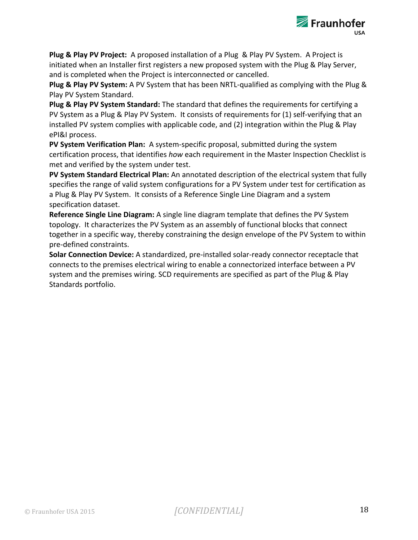

**Plug & Play PV Project:** A proposed installation of a Plug & Play PV System. A Project is initiated when an Installer first registers a new proposed system with the Plug & Play Server, and is completed when the Project is interconnected or cancelled.

**Plug & Play PV System:** A PV System that has been NRTL-qualified as complying with the Plug & Play PV System Standard.

**Plug & Play PV System Standard:** The standard that defines the requirements for certifying a PV System as a Plug & Play PV System. It consists of requirements for (1) self-verifying that an installed PV system complies with applicable code, and (2) integration within the Plug & Play ePI&I process.

**PV System Verification Plan:** A system-specific proposal, submitted during the system certification process, that identifies *how* each requirement in the Master Inspection Checklist is met and verified by the system under test.

PV System Standard Electrical Plan: An annotated description of the electrical system that fully specifies the range of valid system configurations for a PV System under test for certification as a Plug & Play PV System. It consists of a Reference Single Line Diagram and a system specification dataset.

**Reference Single Line Diagram:** A single line diagram template that defines the PV System topology. It characterizes the PV System as an assembly of functional blocks that connect together in a specific way, thereby constraining the design envelope of the PV System to within pre-defined constraints.

**Solar Connection Device:** A standardized, pre-installed solar-ready connector receptacle that connects to the premises electrical wiring to enable a connectorized interface between a PV system and the premises wiring. SCD requirements are specified as part of the Plug & Play Standards portfolio.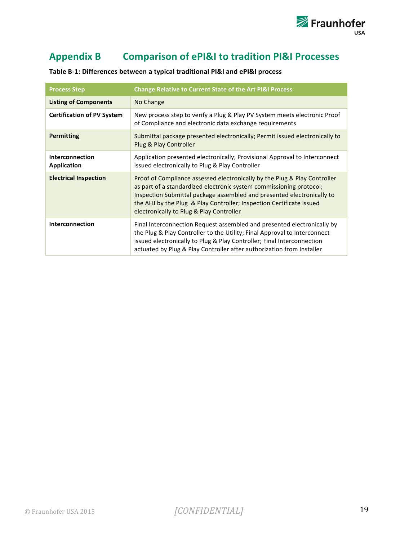

# Appendix B Comparison of ePI&I to tradition PI&I Processes

| <b>Process Step</b>               | <b>Change Relative to Current State of the Art PI&amp;I Process</b>                                                                                                                                                                                                                                                                            |  |
|-----------------------------------|------------------------------------------------------------------------------------------------------------------------------------------------------------------------------------------------------------------------------------------------------------------------------------------------------------------------------------------------|--|
| <b>Listing of Components</b>      | No Change                                                                                                                                                                                                                                                                                                                                      |  |
| <b>Certification of PV System</b> | New process step to verify a Plug & Play PV System meets electronic Proof<br>of Compliance and electronic data exchange requirements                                                                                                                                                                                                           |  |
| Permitting                        | Submittal package presented electronically; Permit issued electronically to<br>Plug & Play Controller                                                                                                                                                                                                                                          |  |
| Interconnection<br>Application    | Application presented electronically; Provisional Approval to Interconnect<br>issued electronically to Plug & Play Controller                                                                                                                                                                                                                  |  |
| <b>Electrical Inspection</b>      | Proof of Compliance assessed electronically by the Plug & Play Controller<br>as part of a standardized electronic system commissioning protocol;<br>Inspection Submittal package assembled and presented electronically to<br>the AHJ by the Plug & Play Controller; Inspection Certificate issued<br>electronically to Plug & Play Controller |  |
| Interconnection                   | Final Interconnection Request assembled and presented electronically by<br>the Plug & Play Controller to the Utility; Final Approval to Interconnect<br>issued electronically to Plug & Play Controller; Final Interconnection<br>actuated by Plug & Play Controller after authorization from Installer                                        |  |

Table B-1: Differences between a typical traditional PI&I and ePI&I process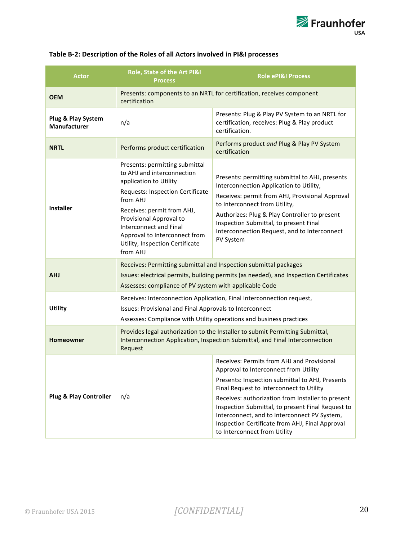| <b>Actor</b>                       | Role, State of the Art PI&I<br><b>Process</b>                                                                                                                                                                                                                                                                    | <b>Role ePI&amp;I Process</b>                                                                                                                                                                                                                                                                                                                                                                                                   |  |
|------------------------------------|------------------------------------------------------------------------------------------------------------------------------------------------------------------------------------------------------------------------------------------------------------------------------------------------------------------|---------------------------------------------------------------------------------------------------------------------------------------------------------------------------------------------------------------------------------------------------------------------------------------------------------------------------------------------------------------------------------------------------------------------------------|--|
| <b>OEM</b>                         | Presents: components to an NRTL for certification, receives component<br>certification                                                                                                                                                                                                                           |                                                                                                                                                                                                                                                                                                                                                                                                                                 |  |
| Plug & Play System<br>Manufacturer | n/a                                                                                                                                                                                                                                                                                                              | Presents: Plug & Play PV System to an NRTL for<br>certification, receives: Plug & Play product<br>certification.                                                                                                                                                                                                                                                                                                                |  |
| <b>NRTL</b>                        | Performs product certification                                                                                                                                                                                                                                                                                   | Performs product and Plug & Play PV System<br>certification                                                                                                                                                                                                                                                                                                                                                                     |  |
| <b>Installer</b>                   | Presents: permitting submittal<br>to AHJ and interconnection<br>application to Utility<br>Requests: Inspection Certificate<br>from AHJ<br>Receives: permit from AHJ,<br>Provisional Approval to<br><b>Interconnect and Final</b><br>Approval to Interconnect from<br>Utility, Inspection Certificate<br>from AHJ | Presents: permitting submittal to AHJ, presents<br>Interconnection Application to Utility,<br>Receives: permit from AHJ, Provisional Approval<br>to Interconnect from Utility,<br>Authorizes: Plug & Play Controller to present<br>Inspection Submittal, to present Final<br>Interconnection Request, and to Interconnect<br>PV System                                                                                          |  |
| <b>AHJ</b>                         | Receives: Permitting submittal and Inspection submittal packages<br>Assesses: compliance of PV system with applicable Code                                                                                                                                                                                       | Issues: electrical permits, building permits (as needed), and Inspection Certificates                                                                                                                                                                                                                                                                                                                                           |  |
| <b>Utility</b>                     | Issues: Provisional and Final Approvals to Interconnect                                                                                                                                                                                                                                                          | Receives: Interconnection Application, Final Interconnection request,<br>Assesses: Compliance with Utility operations and business practices                                                                                                                                                                                                                                                                                    |  |
| Homeowner                          | Request                                                                                                                                                                                                                                                                                                          | Provides legal authorization to the Installer to submit Permitting Submittal,<br>Interconnection Application, Inspection Submittal, and Final Interconnection                                                                                                                                                                                                                                                                   |  |
| <b>Plug &amp; Play Controller</b>  | n/a                                                                                                                                                                                                                                                                                                              | Receives: Permits from AHJ and Provisional<br>Approval to Interconnect from Utility<br>Presents: Inspection submittal to AHJ, Presents<br>Final Request to Interconnect to Utility<br>Receives: authorization from Installer to present<br>Inspection Submittal, to present Final Request to<br>Interconnect, and to Interconnect PV System,<br>Inspection Certificate from AHJ, Final Approval<br>to Interconnect from Utility |  |

#### Table B-2: Description of the Roles of all Actors involved in PI&I processes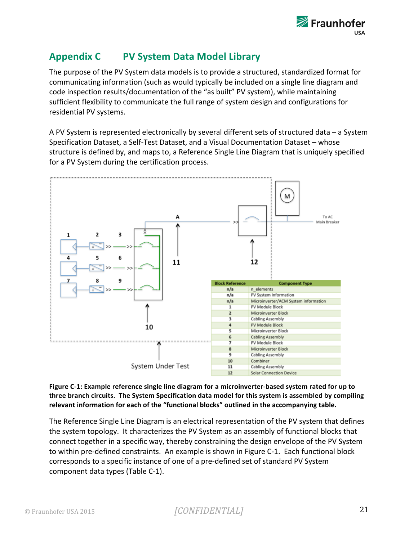# **Appendix C PV System Data Model Library**

The purpose of the PV System data models is to provide a structured, standardized format for communicating information (such as would typically be included on a single line diagram and code inspection results/documentation of the "as built" PV system), while maintaining sufficient flexibility to communicate the full range of system design and configurations for residential PV systems.

A PV System is represented electronically by several different sets of structured data  $-$  a System Specification Dataset, a Self-Test Dataset, and a Visual Documentation Dataset – whose structure is defined by, and maps to, a Reference Single Line Diagram that is uniquely specified for a PV System during the certification process.





The Reference Single Line Diagram is an electrical representation of the PV system that defines the system topology. It characterizes the PV System as an assembly of functional blocks that connect together in a specific way, thereby constraining the design envelope of the PV System to within pre-defined constraints. An example is shown in Figure C-1. Each functional block corresponds to a specific instance of one of a pre-defined set of standard PV System component data types (Table C-1).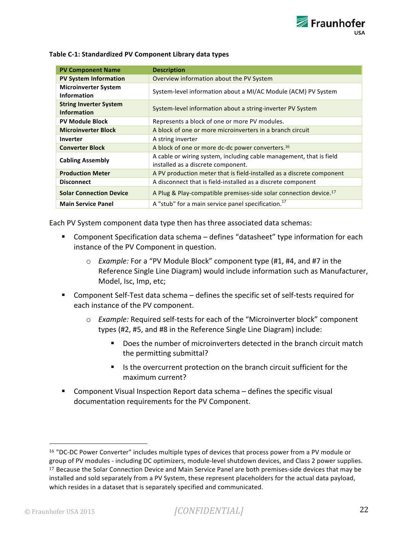| <b>PV Component Name</b>                            | <b>Description</b>                                                                                        |
|-----------------------------------------------------|-----------------------------------------------------------------------------------------------------------|
| <b>PV System Information</b>                        | Overview information about the PV System                                                                  |
| <b>Microinverter System</b><br><b>Information</b>   | System-level information about a MI/AC Module (ACM) PV System                                             |
| <b>String Inverter System</b><br><b>Information</b> | System-level information about a string-inverter PV System                                                |
| <b>PV Module Block</b>                              | Represents a block of one or more PV modules.                                                             |
| <b>Microinverter Block</b>                          | A block of one or more microinverters in a branch circuit                                                 |
| Inverter                                            | A string inverter                                                                                         |
| <b>Converter Block</b>                              | A block of one or more dc-dc power converters. <sup>16</sup>                                              |
| <b>Cabling Assembly</b>                             | A cable or wiring system, including cable management, that is field<br>installed as a discrete component. |
| <b>Production Meter</b>                             | A PV production meter that is field-installed as a discrete component                                     |
| <b>Disconnect</b>                                   | A disconnect that is field-installed as a discrete component                                              |
| <b>Solar Connection Device</b>                      | A Plug & Play-compatible premises-side solar connection device. <sup>17</sup>                             |
| <b>Main Service Panel</b>                           | A "stub" for a main service panel specification. <sup>17</sup>                                            |

#### Table C-1: Standardized PV Component Library data types

Each PV System component data type then has three associated data schemas:

- Component Specification data schema defines "datasheet" type information for each instance of the PV Component in question.
	- $\circ$  *Example:* For a "PV Module Block" component type (#1, #4, and #7 in the Reference Single Line Diagram) would include information such as Manufacturer, Model, Isc, Imp, etc;
- **E** Component Self-Test data schema defines the specific set of self-tests required for each instance of the PV component.
	- $\circ$  *Example:* Required self-tests for each of the "Microinverter block" component types (#2, #5, and #8 in the Reference Single Line Diagram) include:
		- Does the number of microinverters detected in the branch circuit match the permitting submittal?
		- Is the overcurrent protection on the branch circuit sufficient for the maximum current?
- Component Visual Inspection Report data schema defines the specific visual documentation requirements for the PV Component.

 $16$  "DC-DC Power Converter" includes multiple types of devices that process power from a PV module or group of PV modules - including DC optimizers, module-level shutdown devices, and Class 2 power supplies. <sup>17</sup> Because the Solar Connection Device and Main Service Panel are both premises-side devices that may be installed and sold separately from a PV System, these represent placeholders for the actual data payload, which resides in a dataset that is separately specified and communicated.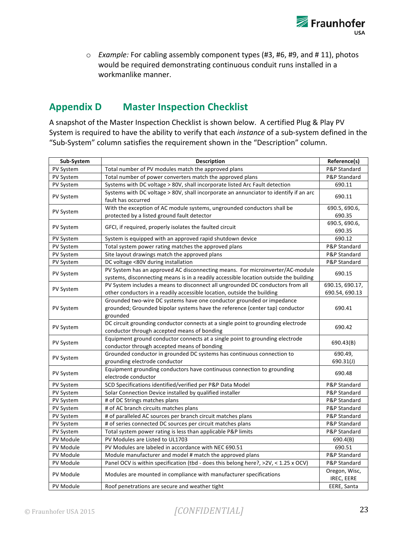

o *Example:* For cabling assembly component types (#3, #6, #9, and # 11), photos would be required demonstrating continuous conduit runs installed in a workmanlike manner.

# **Appendix D Master Inspection Checklist**

A snapshot of the Master Inspection Checklist is shown below. A certified Plug & Play PV System is required to have the ability to verify that each *instance* of a sub-system defined in the "Sub-System" column satisfies the requirement shown in the "Description" column.

| Sub-System       | <b>Description</b>                                                                                                                                                     | Reference(s)                       |
|------------------|------------------------------------------------------------------------------------------------------------------------------------------------------------------------|------------------------------------|
| <b>PV System</b> | Total number of PV modules match the approved plans                                                                                                                    | P&P Standard                       |
| PV System        | Total number of power converters match the approved plans                                                                                                              | P&P Standard                       |
| PV System        | Systems with DC voltage > 80V, shall incorporate listed Arc Fault detection                                                                                            | 690.11                             |
| <b>PV System</b> | Systems with DC voltage > 80V, shall incorporate an annunciator to identify if an arc<br>fault has occurred                                                            | 690.11                             |
| PV System        | With the exception of AC module systems, ungrounded conductors shall be<br>protected by a listed ground fault detector                                                 | 690.5, 690.6,<br>690.35            |
| PV System        | GFCI, if required, properly isolates the faulted circuit                                                                                                               | 690.5, 690.6,<br>690.35            |
| PV System        | System is equipped with an approved rapid shutdown device                                                                                                              | 690.12                             |
| PV System        | Total system power rating matches the approved plans                                                                                                                   | P&P Standard                       |
| PV System        | Site layout drawings match the approved plans                                                                                                                          | P&P Standard                       |
| PV System        | DC voltage <80V during installation                                                                                                                                    | P&P Standard                       |
| PV System        | PV System has an approved AC disconnecting means. For microinverter/AC-module<br>systems, disconnecting means is in a readily accessible location outside the building | 690.15                             |
|                  | PV System includes a means to disconnect all ungrounded DC conductors from all                                                                                         | 690.15, 690.17,                    |
| <b>PV System</b> | other conductors in a readily accessible location, outside the building                                                                                                | 690.54, 690.13                     |
| PV System        | Grounded two-wire DC systems have one conductor grounded or impedance<br>grounded; Grounded bipolar systems have the reference (center tap) conductor<br>grounded      | 690.41                             |
| PV System        | DC circuit grounding conductor connects at a single point to grounding electrode<br>conductor through accepted means of bonding                                        | 690.42                             |
| PV System        | Equipment ground conductor connects at a single point to grounding electrode<br>conductor through accepted means of bonding                                            | 690.43(B)                          |
| <b>PV System</b> | Grounded conductor in grounded DC systems has continuous connection to<br>grounding electrode conductor                                                                | 690.49,<br>690.31(J)               |
| <b>PV System</b> | Equipment grounding conductors have continuous connection to grounding<br>electrode conductor                                                                          | 690.48                             |
| <b>PV System</b> | SCD Specifications identified/verified per P&P Data Model                                                                                                              | P&P Standard                       |
| PV System        | Solar Connection Device installed by qualified installer                                                                                                               | P&P Standard                       |
| PV System        | # of DC Strings matches plans                                                                                                                                          | P&P Standard                       |
| PV System        | # of AC branch circuits matches plans                                                                                                                                  | P&P Standard                       |
| PV System        | # of paralleled AC sources per branch circuit matches plans                                                                                                            | P&P Standard                       |
| PV System        | # of series connected DC sources per circuit matches plans                                                                                                             | P&P Standard                       |
| PV System        | Total system power rating is less than applicable P&P limits                                                                                                           | P&P Standard                       |
| PV Module        | PV Modules are Listed to UL1703                                                                                                                                        | 690.4(B)                           |
| PV Module        | PV Modules are labeled in accordance with NEC 690.51                                                                                                                   | 690.51                             |
| PV Module        | Module manufacturer and model # match the approved plans                                                                                                               | P&P Standard                       |
| PV Module        | Panel OCV is within specification (tbd - does this belong here?, >2V, < 1.25 x OCV)                                                                                    | P&P Standard                       |
| PV Module        | Modules are mounted in compliance with manufacturer specifications                                                                                                     | Oregon, Wisc,<br><b>IREC, EERE</b> |
| PV Module        | Roof penetrations are secure and weather tight                                                                                                                         | EERE, Santa                        |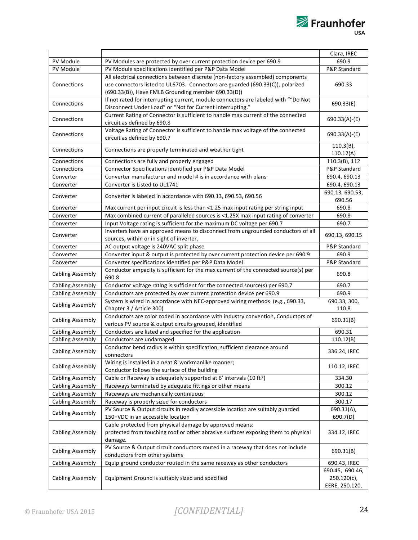|                         |                                                                                     | Clara, IREC     |
|-------------------------|-------------------------------------------------------------------------------------|-----------------|
| PV Module               | PV Modules are protected by over current protection device per 690.9                | 690.9           |
| PV Module               | PV Module specifications identified per P&P Data Model                              | P&P Standard    |
|                         | All electrical connections between discrete (non-factory assembled) components      |                 |
| Connections             | use connectors listed to UL6703. Connectors are guarded (690.33(C)), polarized      | 690.33          |
|                         | (690.33(B)), Have FMLB Grounding member 690.33(D))                                  |                 |
|                         | If not rated for interrupting current, module connectors are labeled with ""Do Not  |                 |
| Connections             | Disconnect Under Load" or "Not for Current Interrupting."                           | 690.33(E)       |
|                         | Current Rating of Connector is sufficient to handle max current of the connected    |                 |
| Connections             | circuit as defined by 690.8                                                         | 690.33(A)-(E)   |
|                         | Voltage Rating of Connector is sufficient to handle max voltage of the connected    |                 |
| Connections             | circuit as defined by 690.7                                                         | 690.33(A)-(E)   |
|                         |                                                                                     | $110.3(B)$ ,    |
| Connections             | Connections are properly terminated and weather tight                               | 110.12(A)       |
| Connections             | Connections are fully and properly engaged                                          | 110.3(B), 112   |
| Connections             | Connector Specifications identified per P&P Data Model                              | P&P Standard    |
| Converter               | Converter manufacturer and model # is in accordance with plans                      | 690.4, 690.13   |
| Converter               | Converter is Listed to UL1741                                                       | 690.4, 690.13   |
|                         |                                                                                     | 690.13, 690.53, |
| Converter               | Converter is labeled in accordance with 690.13, 690.53, 690.56                      | 690.56          |
| Converter               | Max current per input circuit is less than <1.25 max input rating per string input  | 690.8           |
| Converter               | Max combined current of paralleled sources is <1.25X max input rating of converter  | 690.8           |
| Converter               | Input Voltage rating is sufficient for the maximum DC voltage per 690.7             | 690.7           |
|                         | Inverters have an approved means to disconnect from ungrounded conductors of all    |                 |
| Converter               | sources, within or in sight of inverter.                                            | 690.13, 690.15  |
| Converter               | AC output voltage is 240VAC split phase                                             | P&P Standard    |
| Converter               | Converter input & output is protected by over current protection device per 690.9   | 690.9           |
| Converter               | Converter specifications identified per P&P Data Model                              | P&P Standard    |
|                         | Conductor ampacity is sufficient for the max current of the connected source(s) per |                 |
| <b>Cabling Assembly</b> | 690.8                                                                               | 690.8           |
| <b>Cabling Assembly</b> | Conductor voltage rating is sufficient for the connected source(s) per 690.7        | 690.7           |
| <b>Cabling Assembly</b> | Conductors are protected by over current protection device per 690.9                | 690.9           |
|                         | System is wired in accordance with NEC-approved wiring methods (e.g., 690.33,       | 690.33, 300,    |
| <b>Cabling Assembly</b> | Chapter 3 / Article 300(                                                            | 110.8           |
|                         | Conductors are color coded in accordance with industry convention, Conductors of    |                 |
| <b>Cabling Assembly</b> | various PV source & output circuits grouped, identified                             | 690.31(B)       |
| <b>Cabling Assembly</b> | Conductors are listed and specified for the application                             | 690.31          |
| <b>Cabling Assembly</b> | Conductors are undamaged                                                            | 110.12(B)       |
|                         | Conductor bend radius is within specification, sufficient clearance around          |                 |
| <b>Cabling Assembly</b> | connectors                                                                          | 336.24, IREC    |
|                         | Wiring is installed in a neat & workmanlike manner;                                 |                 |
| <b>Cabling Assembly</b> | Conductor follows the surface of the building                                       | 110.12, IREC    |
| <b>Cabling Assembly</b> | Cable or Raceway is adequately supported at 6' intervals (10 ft?)                   | 334.30          |
| <b>Cabling Assembly</b> | Raceways terminated by adequate fittings or other means                             | 300.12          |
| <b>Cabling Assembly</b> | Raceways are mechanically continiuous                                               | 300.12          |
| <b>Cabling Assembly</b> | Raceway is properly sized for conductors                                            | 300.17          |
|                         | PV Source & Output circuits in readily accessible location are suitably guarded     | 690.31(A),      |
| <b>Cabling Assembly</b> | 150+VDC in an accessible location                                                   | 690.7(D)        |
|                         | Cable protected from physical damage by approved means:                             |                 |
| <b>Cabling Assembly</b> | protected from touching roof or other abrasive surfaces exposing them to physical   | 334.12, IREC    |
|                         | damage.                                                                             |                 |
|                         | PV Source & Output circuit conductors routed in a raceway that does not include     |                 |
| <b>Cabling Assembly</b> | conductors from other systems                                                       | 690.31(B)       |
| <b>Cabling Assembly</b> | Equip ground conductor routed in the same raceway as other conductors               | 690.43, IREC    |
|                         |                                                                                     | 690.45, 690.46, |
| <b>Cabling Assembly</b> | Equipment Ground is suitably sized and specified                                    | $250.120(c)$ ,  |
|                         |                                                                                     | EERE, 250.120,  |

Fraunhofer<br>
<sub>USA</sub>